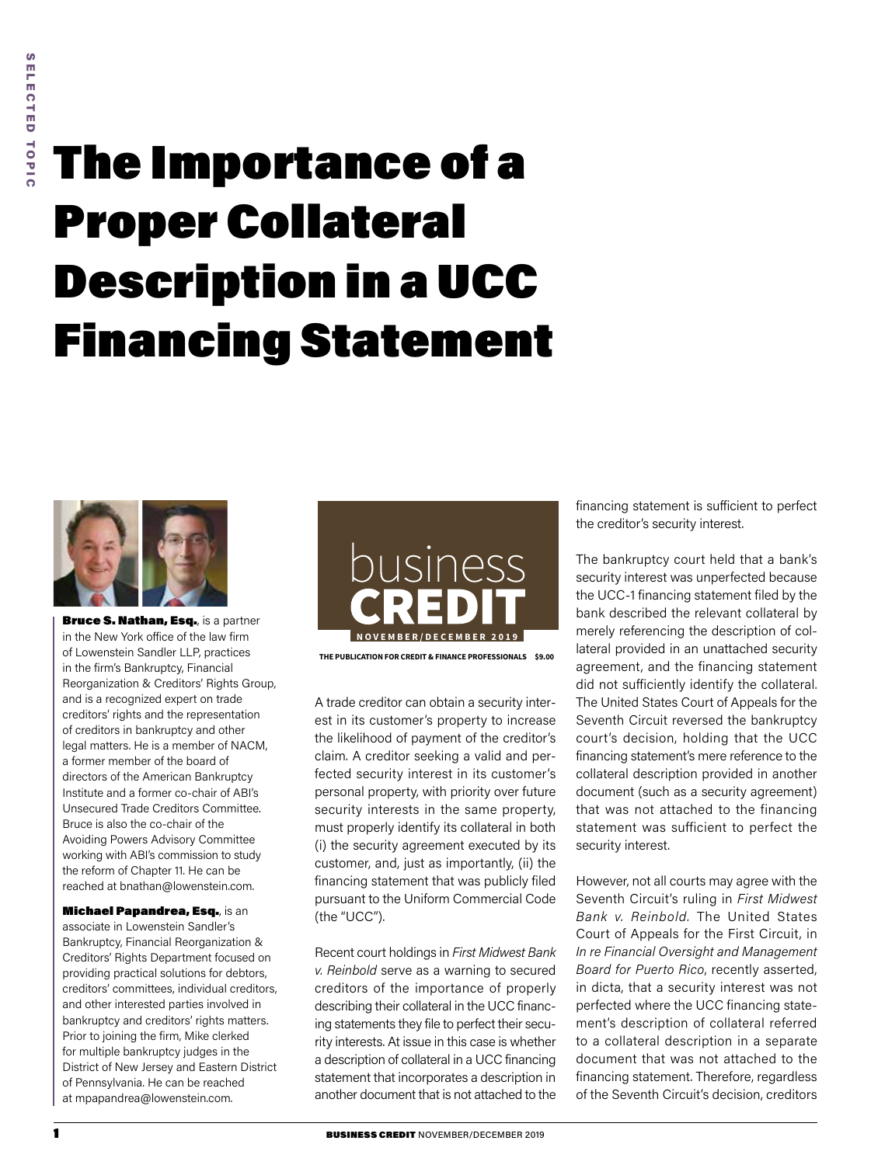# The Importance of a Proper Collateral Description in a UCC Financing Statement



Bruce S. Nathan, Esq., is a partner in the New York office of the law firm of Lowenstein Sandler LLP, practices in the firm's Bankruptcy, Financial Reorganization & Creditors' Rights Group, and is a recognized expert on trade creditors' rights and the representation of creditors in bankruptcy and other legal matters. He is a member of NACM, a former member of the board of directors of the American Bankruptcy Institute and a former co-chair of ABI's Unsecured Trade Creditors Committee. Bruce is also the co-chair of the Avoiding Powers Advisory Committee working with ABI's commission to study the reform of Chapter 11. He can be reached at bnathan@lowenstein.com.

Michael Papandrea, Esq., is an associate in Lowenstein Sandler's Bankruptcy, Financial Reorganization & Creditors' Rights Department focused on providing practical solutions for debtors, creditors' committees, individual creditors, and other interested parties involved in bankruptcy and creditors' rights matters. Prior to joining the firm, Mike clerked for multiple bankruptcy judges in the District of New Jersey and Eastern District of Pennsylvania. He can be reached at mpapandrea@lowenstein.com.



**THE PUBLICATION FOR CREDIT & FINANCE PROFESSIONALS \$9.00**

A trade creditor can obtain a security interest in its customer's property to increase the likelihood of payment of the creditor's claim. A creditor seeking a valid and perfected security interest in its customer's personal property, with priority over future security interests in the same property, must properly identify its collateral in both (i) the security agreement executed by its customer, and, just as importantly, (ii) the financing statement that was publicly filed pursuant to the Uniform Commercial Code (the "UCC").

Recent court holdings in *First Midwest Bank v. Reinbold* serve as a warning to secured creditors of the importance of properly describing their collateral in the UCC financing statements they file to perfect their security interests. At issue in this case is whether a description of collateral in a UCC financing statement that incorporates a description in another document that is not attached to the

financing statement is sufficient to perfect the creditor's security interest.

The bankruptcy court held that a bank's security interest was unperfected because the UCC-1 financing statement filed by the bank described the relevant collateral by merely referencing the description of collateral provided in an unattached security agreement, and the financing statement did not sufficiently identify the collateral. The United States Court of Appeals for the Seventh Circuit reversed the bankruptcy court's decision, holding that the UCC financing statement's mere reference to the collateral description provided in another document (such as a security agreement) that was not attached to the financing statement was sufficient to perfect the security interest.

However, not all courts may agree with the Seventh Circuit's ruling in *First Midwest Bank v. Reinbold.* The United States Court of Appeals for the First Circuit, in *In re Financial Oversight and Management Board for Puerto Rico*, recently asserted, in dicta, that a security interest was not perfected where the UCC financing statement's description of collateral referred to a collateral description in a separate document that was not attached to the financing statement. Therefore, regardless of the Seventh Circuit's decision, creditors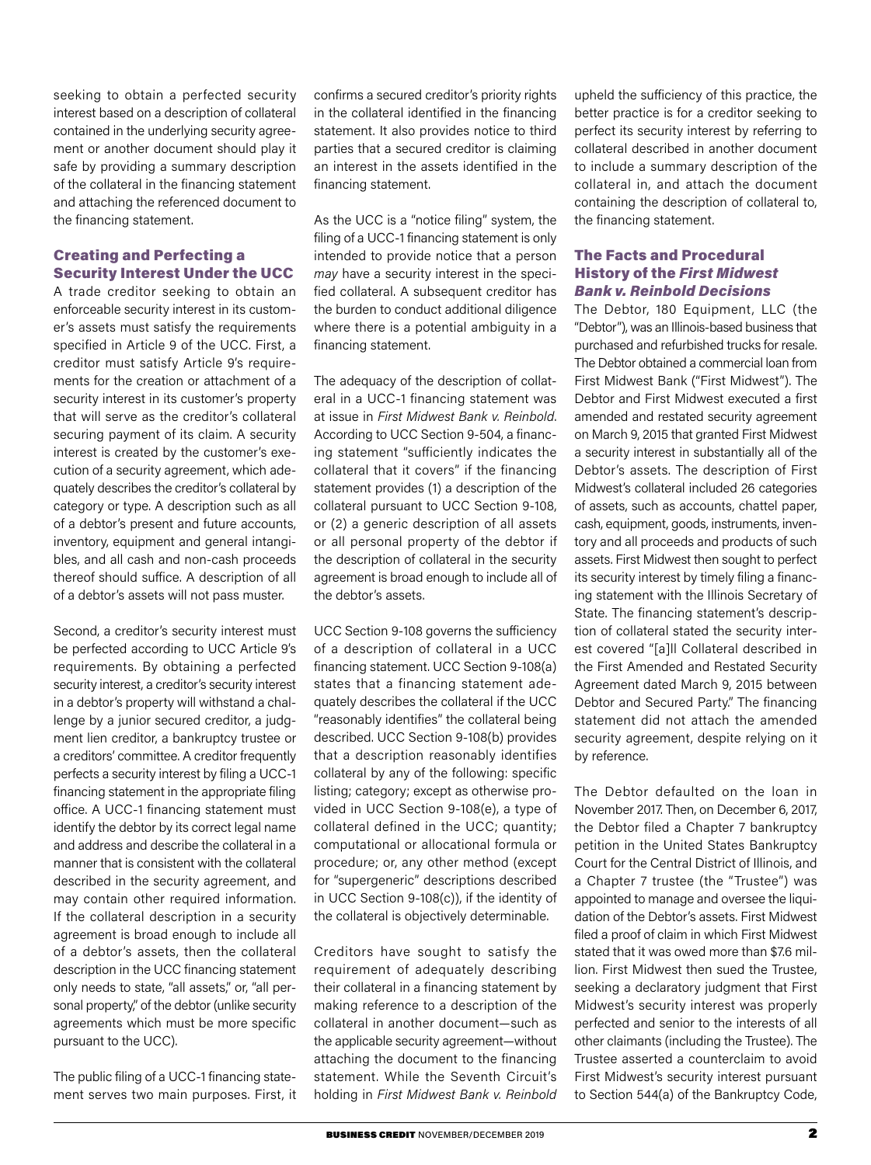seeking to obtain a perfected security interest based on a description of collateral contained in the underlying security agreement or another document should play it safe by providing a summary description of the collateral in the financing statement and attaching the referenced document to the financing statement.

## Creating and Perfecting a Security Interest Under the UCC

A trade creditor seeking to obtain an enforceable security interest in its customer's assets must satisfy the requirements specified in Article 9 of the UCC. First, a creditor must satisfy Article 9's requirements for the creation or attachment of a security interest in its customer's property that will serve as the creditor's collateral securing payment of its claim. A security interest is created by the customer's execution of a security agreement, which adequately describes the creditor's collateral by category or type. A description such as all of a debtor's present and future accounts, inventory, equipment and general intangibles, and all cash and non-cash proceeds thereof should suffice. A description of all of a debtor's assets will not pass muster.

Second, a creditor's security interest must be perfected according to UCC Article 9's requirements. By obtaining a perfected security interest, a creditor's security interest in a debtor's property will withstand a challenge by a junior secured creditor, a judgment lien creditor, a bankruptcy trustee or a creditors' committee. A creditor frequently perfects a security interest by filing a UCC-1 financing statement in the appropriate filing office. A UCC-1 financing statement must identify the debtor by its correct legal name and address and describe the collateral in a manner that is consistent with the collateral described in the security agreement, and may contain other required information. If the collateral description in a security agreement is broad enough to include all of a debtor's assets, then the collateral description in the UCC financing statement only needs to state, "all assets," or, "all personal property," of the debtor (unlike security agreements which must be more specific pursuant to the UCC).

The public filing of a UCC-1 financing statement serves two main purposes. First, it confirms a secured creditor's priority rights in the collateral identified in the financing statement. It also provides notice to third parties that a secured creditor is claiming an interest in the assets identified in the financing statement.

As the UCC is a "notice filing" system, the filing of a UCC-1 financing statement is only intended to provide notice that a person *may* have a security interest in the specified collateral. A subsequent creditor has the burden to conduct additional diligence where there is a potential ambiguity in a financing statement.

The adequacy of the description of collateral in a UCC-1 financing statement was at issue in *First Midwest Bank v. Reinbold*. According to UCC Section 9-504, a financing statement "sufficiently indicates the collateral that it covers" if the financing statement provides (1) a description of the collateral pursuant to UCC Section 9-108, or (2) a generic description of all assets or all personal property of the debtor if the description of collateral in the security agreement is broad enough to include all of the debtor's assets.

UCC Section 9-108 governs the sufficiency of a description of collateral in a UCC financing statement. UCC Section 9-108(a) states that a financing statement adequately describes the collateral if the UCC "reasonably identifies" the collateral being described. UCC Section 9-108(b) provides that a description reasonably identifies collateral by any of the following: specific listing; category; except as otherwise provided in UCC Section 9-108(e), a type of collateral defined in the UCC; quantity; computational or allocational formula or procedure; or, any other method (except for "supergeneric" descriptions described in UCC Section 9-108(c)), if the identity of the collateral is objectively determinable.

Creditors have sought to satisfy the requirement of adequately describing their collateral in a financing statement by making reference to a description of the collateral in another document—such as the applicable security agreement—without attaching the document to the financing statement. While the Seventh Circuit's holding in *First Midwest Bank v. Reinbold* 

upheld the sufficiency of this practice, the better practice is for a creditor seeking to perfect its security interest by referring to collateral described in another document to include a summary description of the collateral in, and attach the document containing the description of collateral to, the financing statement.

## The Facts and Procedural History of the *First Midwest Bank v. Reinbold Decisions*

The Debtor, 180 Equipment, LLC (the "Debtor"), was an Illinois-based business that purchased and refurbished trucks for resale. The Debtor obtained a commercial loan from First Midwest Bank ("First Midwest"). The Debtor and First Midwest executed a first amended and restated security agreement on March 9, 2015 that granted First Midwest a security interest in substantially all of the Debtor's assets. The description of First Midwest's collateral included 26 categories of assets, such as accounts, chattel paper, cash, equipment, goods, instruments, inventory and all proceeds and products of such assets. First Midwest then sought to perfect its security interest by timely filing a financing statement with the Illinois Secretary of State. The financing statement's description of collateral stated the security interest covered "[a]ll Collateral described in the First Amended and Restated Security Agreement dated March 9, 2015 between Debtor and Secured Party." The financing statement did not attach the amended security agreement, despite relying on it by reference.

The Debtor defaulted on the loan in November 2017. Then, on December 6, 2017, the Debtor filed a Chapter 7 bankruptcy petition in the United States Bankruptcy Court for the Central District of Illinois, and a Chapter 7 trustee (the "Trustee") was appointed to manage and oversee the liquidation of the Debtor's assets. First Midwest filed a proof of claim in which First Midwest stated that it was owed more than \$7.6 million. First Midwest then sued the Trustee, seeking a declaratory judgment that First Midwest's security interest was properly perfected and senior to the interests of all other claimants (including the Trustee). The Trustee asserted a counterclaim to avoid First Midwest's security interest pursuant to Section 544(a) of the Bankruptcy Code,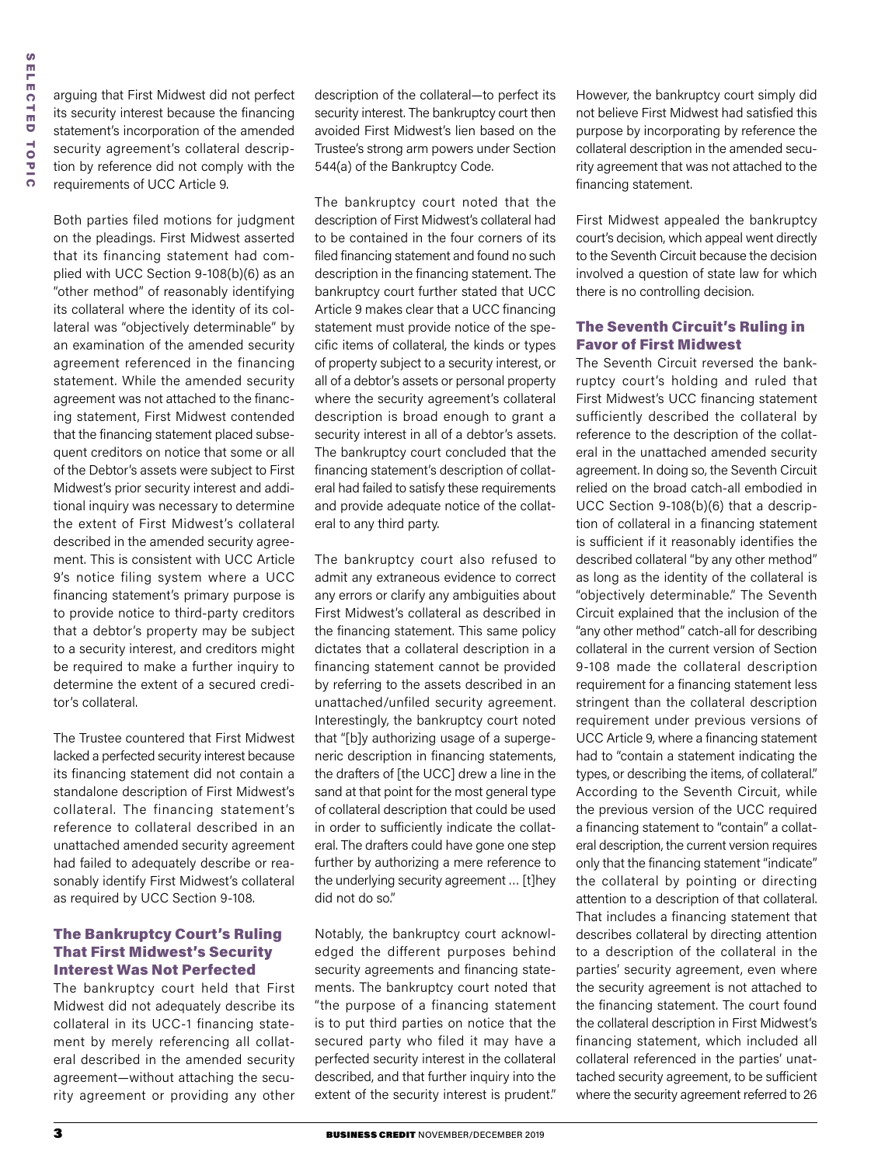arguing that First Midwest did not perfect its security interest because the financing statement's incorporation of the amended security agreement's collateral description by reference did not comply with the requirements of UCC Article 9.

Both parties filed motions for judgment on the pleadings. First Midwest asserted that its financing statement had complied with UCC Section 9-108(b)(6) as an "other method" of reasonably identifying its collateral where the identity of its collateral was "objectively determinable" by an examination of the amended security agreement referenced in the financing statement. While the amended security agreement was not attached to the financing statement, First Midwest contended that the financing statement placed subsequent creditors on notice that some or all of the Debtor's assets were subject to First Midwest's prior security interest and additional inquiry was necessary to determine the extent of First Midwest's collateral described in the amended security agreement. This is consistent with UCC Article 9's notice filing system where a UCC financing statement's primary purpose is to provide notice to third-party creditors that a debtor's property may be subject to a security interest, and creditors might be required to make a further inquiry to determine the extent of a secured creditor's collateral.

The Trustee countered that First Midwest lacked a perfected security interest because its financing statement did not contain a standalone description of First Midwest's collateral. The financing statement's reference to collateral described in an unattached amended security agreement had failed to adequately describe or reasonably identify First Midwest's collateral as required by UCC Section 9-108.

#### The Bankruptcy Court's Ruling That First Midwest's Security Interest Was Not Perfected

The bankruptcy court held that First Midwest did not adequately describe its collateral in its UCC-1 financing statement by merely referencing all collateral described in the amended security agreement—without attaching the security agreement or providing any other

description of the collateral—to perfect its security interest. The bankruptcy court then avoided First Midwest's lien based on the Trustee's strong arm powers under Section 544(a) of the Bankruptcy Code.

The bankruptcy court noted that the description of First Midwest's collateral had to be contained in the four corners of its filed financing statement and found no such description in the financing statement. The bankruptcy court further stated that UCC Article 9 makes clear that a UCC financing statement must provide notice of the specific items of collateral, the kinds or types of property subject to a security interest, or all of a debtor's assets or personal property where the security agreement's collateral description is broad enough to grant a security interest in all of a debtor's assets. The bankruptcy court concluded that the financing statement's description of collateral had failed to satisfy these requirements and provide adequate notice of the collateral to any third party.

The bankruptcy court also refused to admit any extraneous evidence to correct any errors or clarify any ambiguities about First Midwest's collateral as described in the financing statement. This same policy dictates that a collateral description in a financing statement cannot be provided by referring to the assets described in an unattached/unfiled security agreement. Interestingly, the bankruptcy court noted that "[b]y authorizing usage of a supergeneric description in financing statements, the drafters of [the UCC] drew a line in the sand at that point for the most general type of collateral description that could be used in order to sufficiently indicate the collateral. The drafters could have gone one step further by authorizing a mere reference to the underlying security agreement … [t]hey did not do so."

Notably, the bankruptcy court acknowledged the different purposes behind security agreements and financing statements. The bankruptcy court noted that "the purpose of a financing statement is to put third parties on notice that the secured party who filed it may have a perfected security interest in the collateral described, and that further inquiry into the extent of the security interest is prudent." However, the bankruptcy court simply did not believe First Midwest had satisfied this purpose by incorporating by reference the collateral description in the amended security agreement that was not attached to the financing statement.

First Midwest appealed the bankruptcy court's decision, which appeal went directly to the Seventh Circuit because the decision involved a question of state law for which there is no controlling decision.

## The Seventh Circuit's Ruling in Favor of First Midwest

The Seventh Circuit reversed the bankruptcy court's holding and ruled that First Midwest's UCC financing statement sufficiently described the collateral by reference to the description of the collateral in the unattached amended security agreement. In doing so, the Seventh Circuit relied on the broad catch-all embodied in UCC Section 9-108(b)(6) that a description of collateral in a financing statement is sufficient if it reasonably identifies the described collateral "by any other method" as long as the identity of the collateral is "objectively determinable." The Seventh Circuit explained that the inclusion of the "any other method" catch-all for describing collateral in the current version of Section 9-108 made the collateral description requirement for a financing statement less stringent than the collateral description requirement under previous versions of UCC Article 9, where a financing statement had to "contain a statement indicating the types, or describing the items, of collateral." According to the Seventh Circuit, while the previous version of the UCC required a financing statement to "contain" a collateral description, the current version requires only that the financing statement "indicate" the collateral by pointing or directing attention to a description of that collateral. That includes a financing statement that describes collateral by directing attention to a description of the collateral in the parties' security agreement, even where the security agreement is not attached to the financing statement. The court found the collateral description in First Midwest's financing statement, which included all collateral referenced in the parties' unattached security agreement, to be sufficient where the security agreement referred to 26